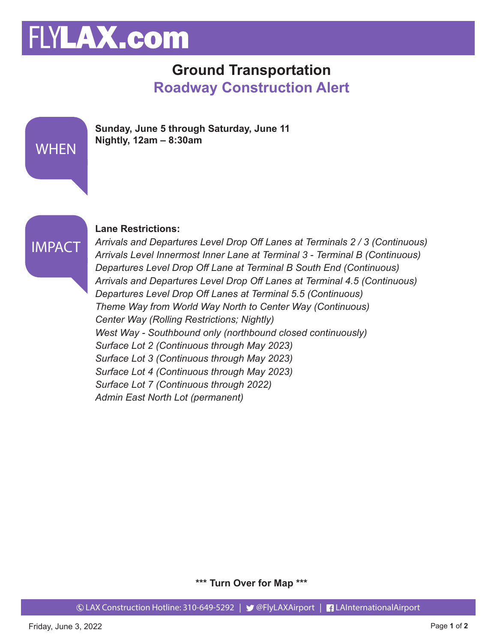# FLYLAX.com

### **Ground Transportation Roadway Construction Alert**





#### **Lane Restrictions:**

*Arrivals and Departures Level Drop Off Lanes at Terminals 2 / 3 (Continuous) Arrivals Level Innermost Inner Lane at Terminal 3 - Terminal B (Continuous) Departures Level Drop Off Lane at Terminal B South End (Continuous) Arrivals and Departures Level Drop Off Lanes at Terminal 4.5 (Continuous) Departures Level Drop Off Lanes at Terminal 5.5 (Continuous) Theme Way from World Way North to Center Way (Continuous) Center Way (Rolling Restrictions; Nightly) West Way - Southbound only (northbound closed continuously) Surface Lot 2 (Continuous through May 2023) Surface Lot 3 (Continuous through May 2023) Surface Lot 4 (Continuous through May 2023) Surface Lot 7 (Continuous through 2022) Admin East North Lot (permanent)*

**\*\*\* Turn Over for Map \*\*\***